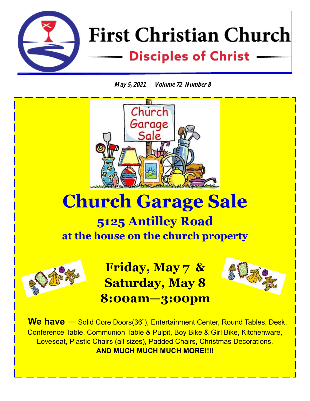

**May 5, 2021 Volume 72 Number 8**



# **Church Garage Sale**

# **5125 Antilley Road at the house on the church property**



**Friday, May 7 & Saturday, May 8 8:00am—3:00pm** 



 **We have —** Solid Core Doors(36"), Entertainment Center, Round Tables, Desk, Conference Table, Communion Table & Pulpit, Boy Bike & Girl Bike, Kitchenware, Loveseat, Plastic Chairs (all sizes), Padded Chairs, Christmas Decorations, **AND MUCH MUCH MUCH MORE!!!!**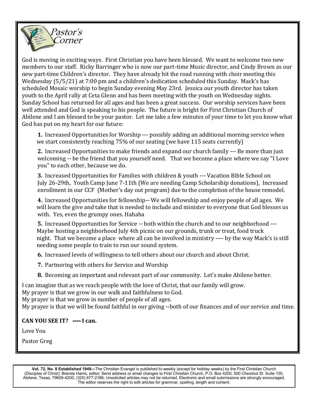

 God is moving in exciting ways. First Christian you have been blessed. We want to welcome two new members to our staff. Ricky Barringer who is now our part-time Music director, and Cindy Brown as our new part-time Children's director. They have already hit the road running with choir meeting this Wednesday (5/5/21) at 7:00 pm and a children's dedication scheduled this Sunday. Mack's has scheduled Mosaic worship to begin Sunday evening May 23rd. Jessica our youth director has taken youth to the April rally at Ceta Glenn and has been meeting with the youth on Wednesday nights. Sunday School has returned for all ages and has been a great success. Our worship services have been well attended and God is speaking to his people. The future is bright for First Christian Church of Abilene and I am blessed to be your pastor. Let me take a few minutes of your time to let you know what God has put on my heart for our future:

**1.** Increased Opportunities for Worship --- possibly adding an additional morning service when we start consistently reaching 75% of our seating (we have 115 seats currently)

**2.** Increased Opportunities to make friends and expand our church family --- Be more than just welcoming -- be the friend that you yourself need. That we become a place where we say "I Love you" to each other, because we do.

**3.** Increased Opportunities for Families with children & youth --- Vacation Bible School on July 26-29th, Youth Camp June 7-11th (We are needing Camp Scholarship donations), Increased enrollment in our CCF (Mother's day out program) due to the completion of the house remodel.

**4.** Increased Opportunities for fellowship-- We will fellowship and enjoy people of all ages. We will learn the give and take that is needed to include and minister to everyone that God blesses us with. Yes, even the grumpy ones. Hahaha

**5.** Increased Opportunities for Service -- both within the church and to our neighborhood --- Maybe hosting a neighborhood July 4th picnic on our grounds, trunk or treat, food truck night. That we become a place where all can be involved in ministry ---- by the way Mack's is still needing some people to train to run our sound system.

**6.** Increased levels of willingness to tell others about our church and about Christ.

**7.** Partnering with others for Service and Worship

**8.** Becoming an important and relevant part of our community. Let's make Abilene better.

I can imagine that as we reach people with the love of Christ, that our family will grow.

My prayer is that we grow in our walk and faithfulness to God.

My prayer is that we grow in number of people of all ages.

My prayer is that we will be found faithful in our giving --both of our finances and of our service and time.

#### **CAN YOU SEE IT? ---- I can.**

Love You

Pastor Greg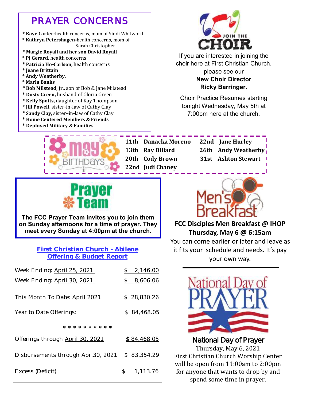### *PRAYER CONCERNS*

- **\* Kaye Carter-**health concerns, mom of Sindi Whitworth
- **\* Kathryn Petershagen-**health concerns**,** mom of Sarah Christopher
- **\* Margie Royall and her son David Royall**
- **\* PJ Gerard,** health concerns
- **\* Patricia Ho-Carlson,** health concerns
- **\* Jeane Brittain**
- **\* Andy Weatherby,**
- **\* Marla Banks**
- **\* Bob Milstead, Jr.,** son of Bob & Jane Milstead
- **\* Dusty Green,** husband of Gloria Green
- **\* Kelly Spotts,** daughter of Kay Thompson
- \* **Jill Powell,** sister-in-law of Cathy Clay
- **\* Sandy Clay,** sister–in-law of Cathy Clay
- **\* Home Centered Members & Friends**
- **\* Deployed Military & Families**



If you are interested in joining the choir here at First Christian Church, please see our **New Choir Director Ricky Barringer.** 

Choir Practice Resumes starting tonight Wednesday, May 5th at 7:00pm here at the church.



**22nd Judi Chaney**

 **11th Danacka Moreno 22nd Jane Hurley 13th Ray Dillard 26th Andy Weatherby 20th Cody Brown 31st Ashton Stewart**



**The FCC Prayer Team invites you to join them on Sunday afternoons for a time of prayer. They meet every Sunday at 4:00pm at the church.** 

> **First Christian Church - Abilene Offering & Budget Report**

| Week Ending: April 25, 2021        | $\mathcal{S}$<br>2,146.00 |
|------------------------------------|---------------------------|
| Week Ending: April 30, 2021        | 8,606.06<br>$\mathcal{S}$ |
| This Month To Date: April 2021     | \$28,830.26               |
| Year to Date Offerings:            | \$84,468.05               |
|                                    |                           |
| * * * * * * * * * *                |                           |
| Offerings through April 30, 2021   | \$84,468.05               |
| Disbursements through Apr.30, 2021 | \$83,354.29               |



**FCC Disciples Men Breakfast @ IHOP Thursday, May 6 @ 6:15am**

You can come earlier or later and leave as it fits your schedule and needs. It's pay your own way.



National Day of Prayer Thursday, May 6, 2021 First Christian Church Worship Center will be open from 11:00am to 2:00pm for anyone that wants to drop by and spend some time in prayer.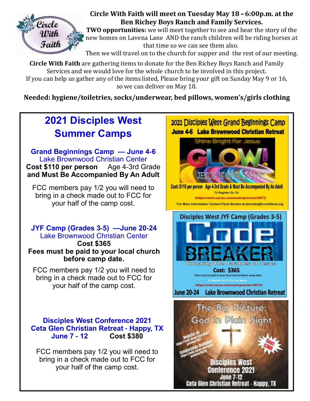

### **Circle With Faith will meet on Tuesday May 18 - 6:00p.m. at the Ben Richey Boys Ranch and Family Services.**

**TWO opportunities:** we will meet together to see and hear the story of the new homes on Lavena Lane AND the ranch children will be riding horses at that time so we can see them also.

Then we will travel on to the church for supper and the rest of our meeting.

**Circle With Faith** are gathering items to donate for the Ben Richey Boys Ranch and Family Services and we would love for the whole church to be involved in this project. If you can help us gather any of the items listed, Please bring your gift on Sunday May 9 or 16, so we can deliver on May 18.

**Needed: hygiene/toiletries, socks/underwear, bed pillows, women's/girls clothing**

# **2021 Disciples West Summer Camps**

**Grand Beginnings Camp — June 4-6** Lake Brownwood Christian Center **Cost \$110 per person** Age 4-3rd Grade **and Must Be Accompanied By An Adult**

FCC members pay 1/2 you will need to bring in a check made out to FCC for your half of the camp cost.

**JYF Camp (Grades 3-5) —June 20-24** Lake Brownwood Christian Center

**Cost \$365 Fees must be paid to your local church before camp date.**

FCC members pay 1/2 you will need to bring in a check made out to FCC for your half of the camp cost.

**Disciples West Conference 2021 Ceta Glen Christian Retreat - Happy, TX June 7 - 12 Cost \$380**

FCC members pay 1/2 you will need to bring in a check made out to FCC for your half of the camp cost.